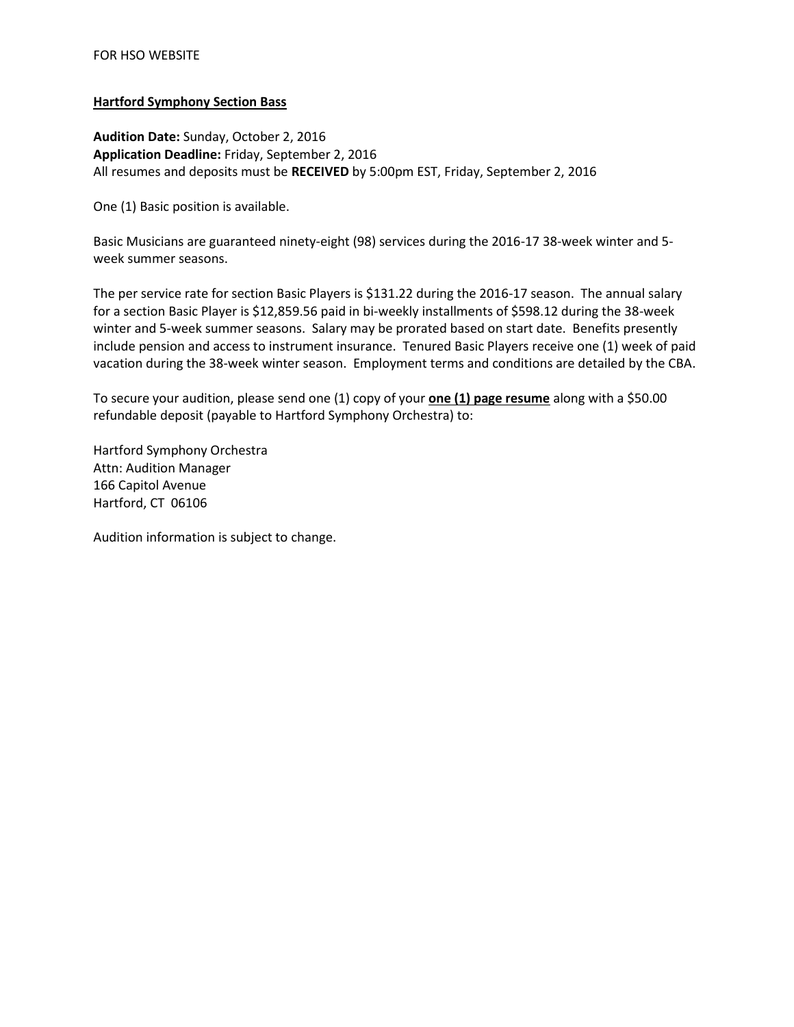## **Hartford Symphony Section Bass**

**Audition Date:** Sunday, October 2, 2016 **Application Deadline:** Friday, September 2, 2016 All resumes and deposits must be **RECEIVED** by 5:00pm EST, Friday, September 2, 2016

One (1) Basic position is available.

Basic Musicians are guaranteed ninety-eight (98) services during the 2016-17 38-week winter and 5 week summer seasons.

The per service rate for section Basic Players is \$131.22 during the 2016-17 season. The annual salary for a section Basic Player is \$12,859.56 paid in bi-weekly installments of \$598.12 during the 38-week winter and 5-week summer seasons. Salary may be prorated based on start date. Benefits presently include pension and access to instrument insurance. Tenured Basic Players receive one (1) week of paid vacation during the 38-week winter season. Employment terms and conditions are detailed by the CBA.

To secure your audition, please send one (1) copy of your **one (1) page resume** along with a \$50.00 refundable deposit (payable to Hartford Symphony Orchestra) to:

Hartford Symphony Orchestra Attn: Audition Manager 166 Capitol Avenue Hartford, CT 06106

Audition information is subject to change.